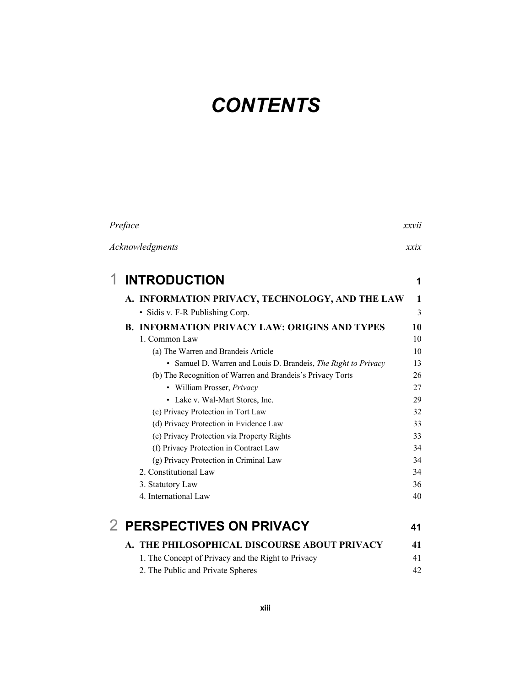# *CONTENTS*

|   | Preface                                                        | xxvii |
|---|----------------------------------------------------------------|-------|
|   | Acknowledgments                                                | xxix  |
| 1 | <b>INTRODUCTION</b>                                            | 1     |
|   | A. INFORMATION PRIVACY, TECHNOLOGY, AND THE LAW                | 1     |
|   | • Sidis v. F-R Publishing Corp.                                | 3     |
|   | <b>B. INFORMATION PRIVACY LAW: ORIGINS AND TYPES</b>           | 10    |
|   | 1. Common Law                                                  | 10    |
|   | (a) The Warren and Brandeis Article                            | 10    |
|   | • Samuel D. Warren and Louis D. Brandeis, The Right to Privacy | 13    |
|   | (b) The Recognition of Warren and Brandeis's Privacy Torts     | 26    |
|   | • William Prosser, Privacy                                     | 27    |
|   | • Lake v. Wal-Mart Stores, Inc.                                | 29    |
|   | (c) Privacy Protection in Tort Law                             | 32    |
|   | (d) Privacy Protection in Evidence Law                         | 33    |
|   | (e) Privacy Protection via Property Rights                     | 33    |
|   | (f) Privacy Protection in Contract Law                         | 34    |
|   | (g) Privacy Protection in Criminal Law                         | 34    |
|   | 2. Constitutional Law                                          | 34    |
|   | 3. Statutory Law                                               | 36    |
|   | 4. International Law                                           | 40    |
|   | 2 PERSPECTIVES ON PRIVACY                                      | 41    |
|   | A. THE PHILOSOPHICAL DISCOURSE ABOUT PRIVACY                   | 41    |
|   | 1. The Concept of Privacy and the Right to Privacy             | 41    |
|   | 2. The Public and Private Spheres                              | 42    |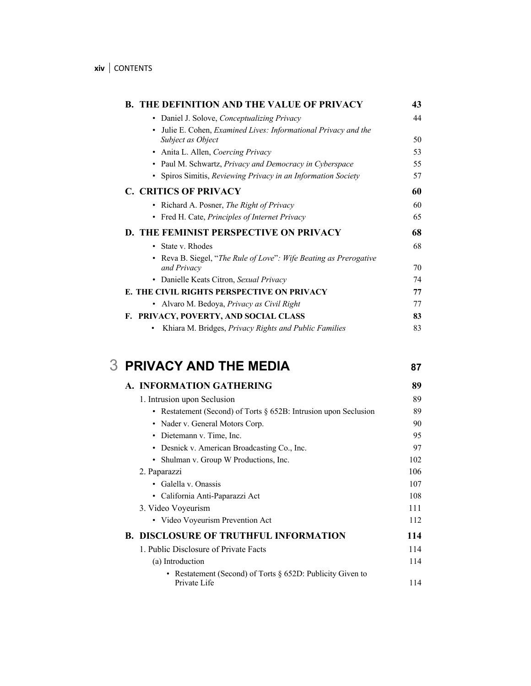| <b>B. THE DEFINITION AND THE VALUE OF PRIVACY</b>                                         | 43 |
|-------------------------------------------------------------------------------------------|----|
| • Daniel J. Solove, Conceptualizing Privacy                                               | 44 |
| Julie E. Cohen, <i>Examined Lives: Informational Privacy and the</i><br>Subject as Object | 50 |
| Anita L. Allen, Coercing Privacy                                                          | 53 |
| Paul M. Schwartz, Privacy and Democracy in Cyberspace<br>$\bullet$                        | 55 |
| Spiros Simitis, Reviewing Privacy in an Information Society                               | 57 |
| <b>C. CRITICS OF PRIVACY</b>                                                              | 60 |
| • Richard A. Posner, <i>The Right of Privacy</i>                                          | 60 |
| • Fred H. Cate, <i>Principles of Internet Privacy</i>                                     | 65 |
| D. THE FEMINIST PERSPECTIVE ON PRIVACY                                                    | 68 |
| • State v. Rhodes                                                                         | 68 |
| Reva B. Siegel, "The Rule of Love": Wife Beating as Prerogative                           |    |
| and Privacy                                                                               | 70 |
| • Danielle Keats Citron, Sexual Privacy                                                   | 74 |
| E. THE CIVIL RIGHTS PERSPECTIVE ON PRIVACY                                                | 77 |
| • Alvaro M. Bedoya, Privacy as Civil Right                                                | 77 |
| F. PRIVACY, POVERTY, AND SOCIAL CLASS                                                     | 83 |
| Khiara M. Bridges, Privacy Rights and Public Families                                     | 83 |

## 3 **PRIVACY AND THE MEDIA <sup>87</sup>**

| A. INFORMATION GATHERING                                            | 89  |
|---------------------------------------------------------------------|-----|
| 1. Intrusion upon Seclusion                                         | 89  |
| • Restatement (Second) of Torts $\S$ 652B: Intrusion upon Seclusion | 89  |
| • Nader v. General Motors Corp.                                     | 90  |
| • Dietemann v. Time, Inc.                                           | 95  |
| • Desnick v. American Broadcasting Co., Inc.                        | 97  |
| • Shulman v. Group W Productions, Inc.                              | 102 |
| 2. Paparazzi                                                        | 106 |
| • Galella v. Onassis                                                | 107 |
| • California Anti-Paparazzi Act                                     | 108 |
| 3. Video Voyeurism                                                  | 111 |
| • Video Voyeurism Prevention Act                                    | 112 |
| <b>B. DISCLOSURE OF TRUTHFUL INFORMATION</b>                        | 114 |
| 1. Public Disclosure of Private Facts                               | 114 |
| (a) Introduction                                                    | 114 |
| • Restatement (Second) of Torts $\S$ 652D: Publicity Given to       |     |
| Private Life                                                        | 114 |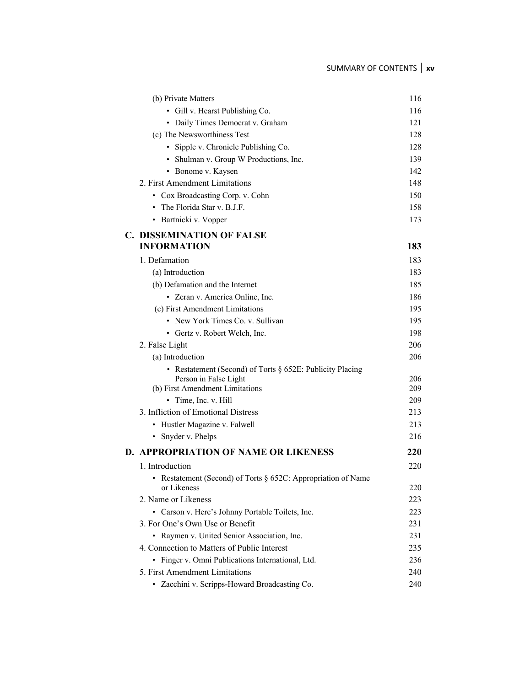#### SUMMARY OF CONTENTS  $\vert xv \vert$

| (b) Private Matters                                           | 116        |
|---------------------------------------------------------------|------------|
| • Gill v. Hearst Publishing Co.                               | 116        |
| • Daily Times Democrat v. Graham                              | 121        |
| (c) The Newsworthiness Test                                   | 128        |
| • Sipple v. Chronicle Publishing Co.                          | 128        |
| • Shulman v. Group W Productions, Inc.                        | 139        |
| • Bonome v. Kaysen                                            | 142        |
| 2. First Amendment Limitations                                | 148        |
| • Cox Broadcasting Corp. v. Cohn                              | 150        |
| • The Florida Star v. B.J.F.                                  | 158        |
| • Bartnicki v. Vopper                                         | 173        |
| <b>C. DISSEMINATION OF FALSE</b>                              |            |
| <b>INFORMATION</b>                                            | 183        |
| 1. Defamation                                                 | 183        |
| (a) Introduction                                              | 183        |
| (b) Defamation and the Internet                               | 185        |
| • Zeran v. America Online, Inc.                               | 186        |
| (c) First Amendment Limitations                               | 195        |
| • New York Times Co. v. Sullivan                              | 195        |
| • Gertz v. Robert Welch, Inc.                                 | 198        |
| 2. False Light                                                | 206        |
| (a) Introduction                                              | 206        |
| • Restatement (Second) of Torts § 652E: Publicity Placing     |            |
| Person in False Light                                         | 206        |
| (b) First Amendment Limitations                               | 209        |
| • Time, Inc. v. Hill                                          | 209        |
| 3. Infliction of Emotional Distress                           | 213<br>213 |
| • Hustler Magazine v. Falwell                                 | 216        |
| • Snyder v. Phelps                                            |            |
| <b>D. APPROPRIATION OF NAME OR LIKENESS</b>                   | 220        |
| 1. Introduction                                               | 220        |
| • Restatement (Second) of Torts § 652C: Appropriation of Name |            |
| or Likeness                                                   | 220        |
| 2. Name or Likeness                                           | 223        |
| • Carson v. Here's Johnny Portable Toilets, Inc.              | 223        |
| 3. For One's Own Use or Benefit                               | 231        |
| • Raymen v. United Senior Association, Inc.                   | 231        |
| 4. Connection to Matters of Public Interest                   | 235        |
| • Finger v. Omni Publications International, Ltd.             | 236        |
| 5. First Amendment Limitations                                | 240        |
| • Zacchini v. Scripps-Howard Broadcasting Co.                 | 240        |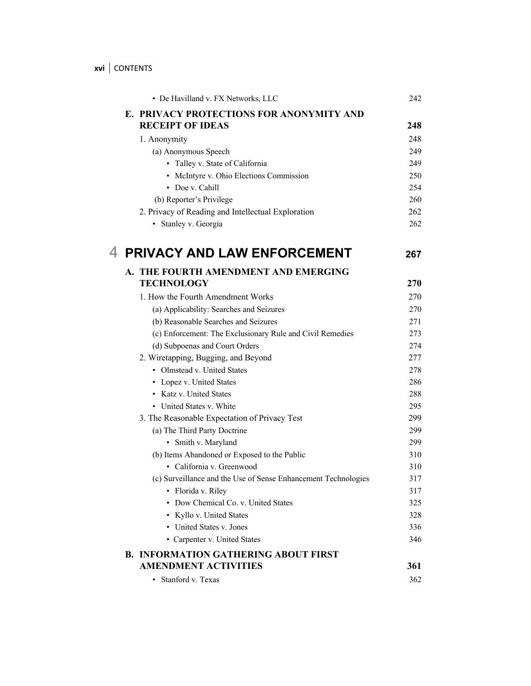|  | • De Havilland v. FX Networks, LLC                             | 242 |
|--|----------------------------------------------------------------|-----|
|  | E. PRIVACY PROTECTIONS FOR ANONYMITY AND                       |     |
|  | <b>RECEIPT OF IDEAS</b>                                        | 248 |
|  | 1. Anonymity                                                   | 248 |
|  | (a) Anonymous Speech                                           | 249 |
|  | • Talley v. State of California                                | 249 |
|  | • McIntyre v. Ohio Elections Commission                        | 250 |
|  | • Doe v. Cahill                                                | 254 |
|  | (b) Reporter's Privilege                                       | 260 |
|  | 2. Privacy of Reading and Intellectual Exploration             | 262 |
|  | · Stanley v. Georgia                                           | 262 |
|  | <b>4 PRIVACY AND LAW ENFORCEMENT</b>                           | 267 |
|  | A. THE FOURTH AMENDMENT AND EMERGING                           |     |
|  | <b>TECHNOLOGY</b>                                              | 270 |
|  | 1. How the Fourth Amendment Works                              | 270 |
|  | (a) Applicability: Searches and Seizures                       | 270 |
|  | (b) Reasonable Searches and Seizures                           | 271 |
|  | (c) Enforcement: The Exclusionary Rule and Civil Remedies      | 273 |
|  | (d) Subpoenas and Court Orders                                 | 274 |
|  | 2. Wiretapping, Bugging, and Beyond                            | 277 |
|  | • Olmstead v. United States                                    | 278 |
|  | • Lopez v. United States                                       | 286 |
|  | • Katz v. United States                                        | 288 |
|  | • United States v. White                                       | 295 |
|  | 3. The Reasonable Expectation of Privacy Test                  | 299 |
|  | (a) The Third Party Doctrine                                   | 299 |
|  | • Smith v. Maryland                                            | 299 |
|  | (b) Items Abandoned or Exposed to the Public                   | 310 |
|  | • California v. Greenwood                                      | 310 |
|  | (c) Surveillance and the Use of Sense Enhancement Technologies | 317 |
|  | · Florida v. Riley                                             | 317 |
|  | • Dow Chemical Co. v. United States                            | 325 |
|  | • Kyllo v. United States                                       | 328 |
|  | • United States v. Jones                                       | 336 |
|  | • Carpenter v. United States                                   | 346 |
|  | <b>B. INFORMATION GATHERING ABOUT FIRST</b>                    |     |
|  | <b>AMENDMENT ACTIVITIES</b>                                    | 361 |
|  | · Stanford v. Texas                                            | 362 |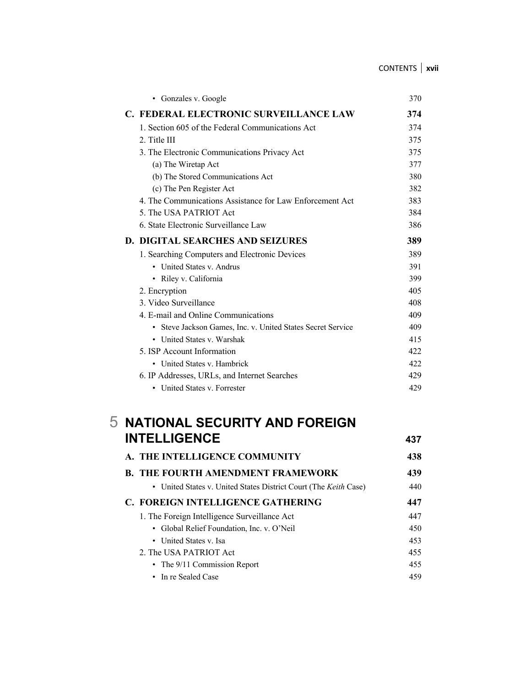| • Gonzales v. Google                                        | 370 |
|-------------------------------------------------------------|-----|
| C. FEDERAL ELECTRONIC SURVEILLANCE LAW                      | 374 |
| 1. Section 605 of the Federal Communications Act            | 374 |
| 2. Title III                                                | 375 |
| 3. The Electronic Communications Privacy Act                | 375 |
| (a) The Wiretap Act                                         | 377 |
| (b) The Stored Communications Act                           | 380 |
| (c) The Pen Register Act                                    | 382 |
| 4. The Communications Assistance for Law Enforcement Act    | 383 |
| 5. The USA PATRIOT Act                                      | 384 |
| 6. State Electronic Surveillance Law                        | 386 |
| <b>D. DIGITAL SEARCHES AND SEIZURES</b>                     | 389 |
| 1. Searching Computers and Electronic Devices               | 389 |
| • United States v. Andrus                                   | 391 |
| • Riley v. California                                       | 399 |
| 2. Encryption                                               | 405 |
| 3. Video Surveillance                                       | 408 |
| 4. E-mail and Online Communications                         | 409 |
| • Steve Jackson Games, Inc. v. United States Secret Service | 409 |
| • United States v. Warshak                                  | 415 |
| 5. ISP Account Information                                  | 422 |
| • United States v. Hambrick                                 | 422 |
| 6. IP Addresses, URLs, and Internet Searches                | 429 |
| • United States v. Forrester                                | 429 |

### 5 **NATIONAL SECURITY AND FOREIGN INTELLIGENCE 437**

| A. THE INTELLIGENCE COMMUNITY                                    | 438 |
|------------------------------------------------------------------|-----|
| <b>B. THE FOURTH AMENDMENT FRAMEWORK</b>                         | 439 |
| • United States v. United States District Court (The Keith Case) | 440 |
| C. FOREIGN INTELLIGENCE GATHERING                                | 447 |
| 1. The Foreign Intelligence Surveillance Act                     | 447 |
| • Global Relief Foundation, Inc. v. O'Neil                       | 450 |
| • United States v. Isa                                           | 453 |
| 2. The USA PATRIOT Act                                           | 455 |
| • The 9/11 Commission Report                                     | 455 |
| • In re Sealed Case                                              | 459 |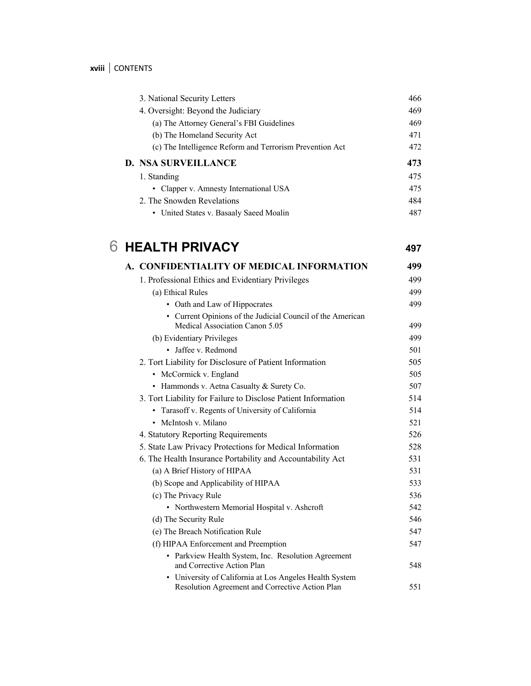| 3. National Security Letters                             | 466 |
|----------------------------------------------------------|-----|
| 4. Oversight: Beyond the Judiciary                       | 469 |
| (a) The Attorney General's FBI Guidelines                | 469 |
| (b) The Homeland Security Act                            | 471 |
| (c) The Intelligence Reform and Terrorism Prevention Act | 472 |
|                                                          |     |
| D. NSA SURVEILLANCE                                      | 473 |
| 1. Standing                                              | 475 |
| • Clapper v. Amnesty International USA                   | 475 |
| 2. The Snowden Revelations                               | 484 |

## 6 **HEALTH PRIVACY <sup>497</sup>**

| A. CONFIDENTIALITY OF MEDICAL INFORMATION                                                                  | 499 |
|------------------------------------------------------------------------------------------------------------|-----|
| 1. Professional Ethics and Evidentiary Privileges                                                          | 499 |
| (a) Ethical Rules                                                                                          | 499 |
| • Oath and Law of Hippocrates                                                                              | 499 |
| • Current Opinions of the Judicial Council of the American<br>Medical Association Canon 5.05               | 499 |
| (b) Evidentiary Privileges                                                                                 | 499 |
| • Jaffee v. Redmond                                                                                        | 501 |
| 2. Tort Liability for Disclosure of Patient Information                                                    | 505 |
| • McCormick v. England                                                                                     | 505 |
| • Hammonds v. Aetna Casualty & Surety Co.                                                                  | 507 |
| 3. Tort Liability for Failure to Disclose Patient Information                                              | 514 |
| • Tarasoff v. Regents of University of California                                                          | 514 |
| • McIntosh v. Milano                                                                                       | 521 |
| 4. Statutory Reporting Requirements                                                                        | 526 |
| 5. State Law Privacy Protections for Medical Information                                                   | 528 |
| 6. The Health Insurance Portability and Accountability Act                                                 | 531 |
| (a) A Brief History of HIPAA                                                                               | 531 |
| (b) Scope and Applicability of HIPAA                                                                       | 533 |
| (c) The Privacy Rule                                                                                       | 536 |
| • Northwestern Memorial Hospital v. Ashcroft                                                               | 542 |
| (d) The Security Rule                                                                                      | 546 |
| (e) The Breach Notification Rule                                                                           | 547 |
| (f) HIPAA Enforcement and Preemption                                                                       | 547 |
| • Parkview Health System, Inc. Resolution Agreement<br>and Corrective Action Plan                          | 548 |
| • University of California at Los Angeles Health System<br>Resolution Agreement and Corrective Action Plan | 551 |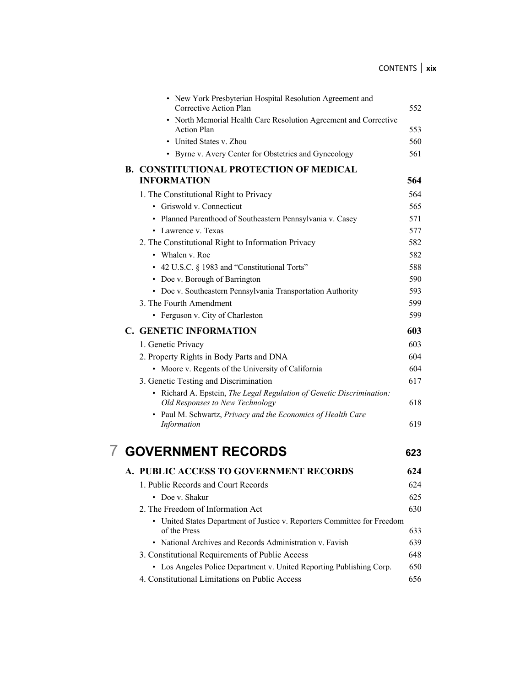| • New York Presbyterian Hospital Resolution Agreement and<br>Corrective Action Plan                      | 552 |
|----------------------------------------------------------------------------------------------------------|-----|
| • North Memorial Health Care Resolution Agreement and Corrective                                         |     |
| <b>Action Plan</b>                                                                                       | 553 |
| • United States v. Zhou                                                                                  | 560 |
| • Byrne v. Avery Center for Obstetrics and Gynecology                                                    | 561 |
| <b>B. CONSTITUTIONAL PROTECTION OF MEDICAL</b>                                                           |     |
| <b>INFORMATION</b>                                                                                       | 564 |
| 1. The Constitutional Right to Privacy                                                                   | 564 |
| • Griswold v. Connecticut                                                                                | 565 |
| • Planned Parenthood of Southeastern Pennsylvania v. Casey                                               | 571 |
| • Lawrence v. Texas                                                                                      | 577 |
| 2. The Constitutional Right to Information Privacy                                                       | 582 |
| • Whalen v. Roe                                                                                          | 582 |
| • 42 U.S.C. § 1983 and "Constitutional Torts"                                                            | 588 |
| • Doe v. Borough of Barrington                                                                           | 590 |
| • Doe v. Southeastern Pennsylvania Transportation Authority                                              | 593 |
| 3. The Fourth Amendment                                                                                  | 599 |
| • Ferguson v. City of Charleston                                                                         | 599 |
| <b>C. GENETIC INFORMATION</b>                                                                            | 603 |
| 1. Genetic Privacy                                                                                       | 603 |
| 2. Property Rights in Body Parts and DNA                                                                 | 604 |
| • Moore v. Regents of the University of California                                                       | 604 |
| 3. Genetic Testing and Discrimination                                                                    | 617 |
| • Richard A. Epstein, The Legal Regulation of Genetic Discrimination:<br>Old Responses to New Technology | 618 |
| • Paul M. Schwartz, Privacy and the Economics of Health Care                                             |     |
| Information                                                                                              | 619 |
| <b>7 GOVERNMENT RECORDS</b>                                                                              | 623 |
|                                                                                                          |     |
| A. PUBLIC ACCESS TO GOVERNMENT RECORDS                                                                   | 624 |
| 1. Public Records and Court Records                                                                      | 624 |
| • Doe v. Shakur                                                                                          | 625 |
| 2. The Freedom of Information Act                                                                        | 630 |
| • United States Department of Justice v. Reporters Committee for Freedom<br>of the Press                 | 633 |
| • National Archives and Records Administration v. Favish                                                 | 639 |
| 3. Constitutional Requirements of Public Access                                                          | 648 |
| • Los Angeles Police Department v. United Reporting Publishing Corp.                                     | 650 |
|                                                                                                          |     |

4. Constitutional Limitations on Public Access 656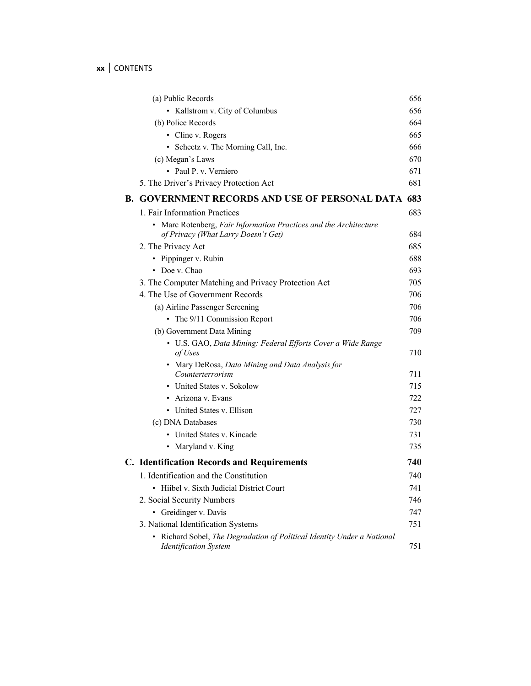| (a) Public Records                                                                                       | 656 |
|----------------------------------------------------------------------------------------------------------|-----|
| • Kallstrom v. City of Columbus                                                                          | 656 |
| (b) Police Records                                                                                       | 664 |
| • Cline v. Rogers                                                                                        | 665 |
| • Scheetz v. The Morning Call, Inc.                                                                      | 666 |
| (c) Megan's Laws                                                                                         | 670 |
| • Paul P. v. Verniero                                                                                    | 671 |
| 5. The Driver's Privacy Protection Act                                                                   | 681 |
| <b>B. GOVERNMENT RECORDS AND USE OF PERSONAL DATA 683</b>                                                |     |
| 1. Fair Information Practices                                                                            | 683 |
| • Marc Rotenberg, Fair Information Practices and the Architecture<br>of Privacy (What Larry Doesn't Get) | 684 |
| 2. The Privacy Act                                                                                       | 685 |
| • Pippinger v. Rubin                                                                                     | 688 |
| • Doe v. Chao                                                                                            | 693 |
| 3. The Computer Matching and Privacy Protection Act                                                      | 705 |
| 4. The Use of Government Records                                                                         | 706 |
| (a) Airline Passenger Screening                                                                          | 706 |
| • The 9/11 Commission Report                                                                             | 706 |
| (b) Government Data Mining                                                                               | 709 |
| • U.S. GAO, Data Mining: Federal Efforts Cover a Wide Range<br>of Uses                                   | 710 |
| • Mary DeRosa, Data Mining and Data Analysis for<br>Counterterrorism                                     | 711 |
| • United States v. Sokolow                                                                               | 715 |
| • Arizona v. Evans                                                                                       | 722 |
| • United States v. Ellison                                                                               | 727 |
| (c) DNA Databases                                                                                        | 730 |
| • United States v. Kincade                                                                               | 731 |
| • Maryland v. King                                                                                       | 735 |
| <b>C. Identification Records and Requirements</b>                                                        | 740 |
| 1. Identification and the Constitution                                                                   | 740 |
| Hiibel v. Sixth Judicial District Court                                                                  | 741 |
| 2. Social Security Numbers                                                                               | 746 |
| • Greidinger v. Davis                                                                                    | 747 |
| 3. National Identification Systems                                                                       | 751 |
| • Richard Sobel, The Degradation of Political Identity Under a National<br><b>Identification System</b>  | 751 |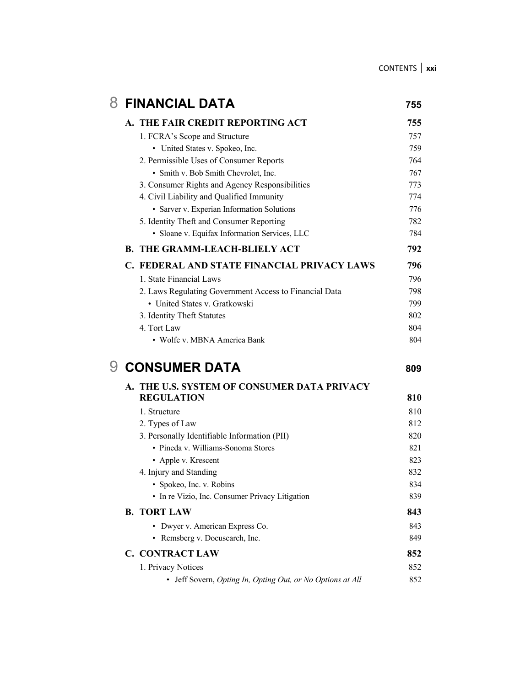| 8 | <b>FINANCIAL DATA</b>                                      | 755 |
|---|------------------------------------------------------------|-----|
|   | A. THE FAIR CREDIT REPORTING ACT                           | 755 |
|   | 1. FCRA's Scope and Structure                              | 757 |
|   | • United States v. Spokeo, Inc.                            | 759 |
|   | 2. Permissible Uses of Consumer Reports                    | 764 |
|   | • Smith v. Bob Smith Chevrolet, Inc.                       | 767 |
|   | 3. Consumer Rights and Agency Responsibilities             | 773 |
|   | 4. Civil Liability and Qualified Immunity                  | 774 |
|   | • Sarver v. Experian Information Solutions                 | 776 |
|   | 5. Identity Theft and Consumer Reporting                   | 782 |
|   | · Sloane v. Equifax Information Services, LLC              | 784 |
|   | <b>B. THE GRAMM-LEACH-BLIELY ACT</b>                       | 792 |
|   | C. FEDERAL AND STATE FINANCIAL PRIVACY LAWS                | 796 |
|   | 1. State Financial Laws                                    | 796 |
|   | 2. Laws Regulating Government Access to Financial Data     | 798 |
|   | • United States v. Gratkowski                              | 799 |
|   | 3. Identity Theft Statutes                                 | 802 |
|   | 4. Tort Law                                                | 804 |
|   | • Wolfe v. MBNA America Bank                               | 804 |
|   | <b>CONSUMER DATA</b>                                       | 809 |
|   | A. THE U.S. SYSTEM OF CONSUMER DATA PRIVACY                |     |
|   | <b>REGULATION</b>                                          | 810 |
|   | 1. Structure                                               | 810 |
|   | 2. Types of Law                                            | 812 |
|   | 3. Personally Identifiable Information (PII)               | 820 |
|   | · Pineda v. Williams-Sonoma Stores                         | 821 |
|   | • Apple v. Krescent                                        | 823 |
|   | 4. Injury and Standing                                     | 832 |
|   | • Spokeo, Inc. v. Robins                                   | 834 |
|   | • In re Vizio, Inc. Consumer Privacy Litigation            | 839 |
|   | <b>B. TORT LAW</b>                                         | 843 |
|   | • Dwyer v. American Express Co.                            | 843 |
|   | • Remsberg v. Docusearch, Inc.                             | 849 |
|   | <b>C. CONTRACT LAW</b>                                     | 852 |
|   | 1. Privacy Notices                                         | 852 |
|   | • Jeff Sovern, Opting In, Opting Out, or No Options at All | 852 |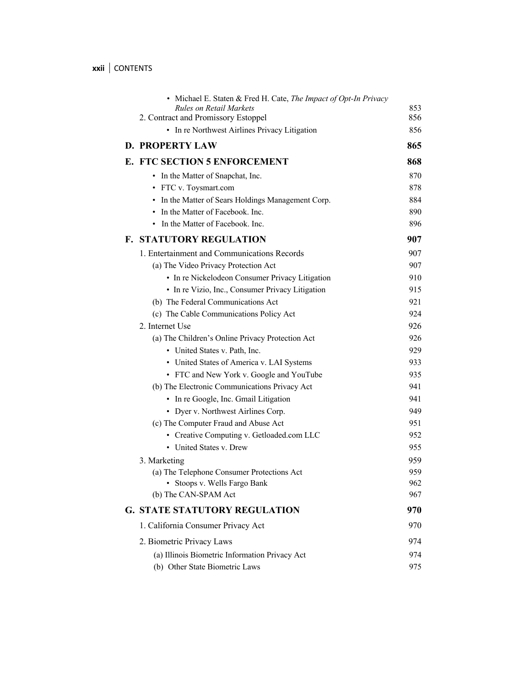**xxii** CONTENTS

| • Michael E. Staten & Fred H. Cate, The Impact of Opt-In Privacy |     |
|------------------------------------------------------------------|-----|
| <b>Rules on Retail Markets</b>                                   | 853 |
| 2. Contract and Promissory Estoppel                              | 856 |
| • In re Northwest Airlines Privacy Litigation                    | 856 |
| <b>D. PROPERTY LAW</b>                                           | 865 |
| <b>E. FTC SECTION 5 ENFORCEMENT</b>                              | 868 |
| • In the Matter of Snapchat, Inc.                                | 870 |
| • FTC v. Toysmart.com                                            | 878 |
| • In the Matter of Sears Holdings Management Corp.               | 884 |
| • In the Matter of Facebook. Inc.                                | 890 |
| • In the Matter of Facebook. Inc.                                | 896 |
| <b>F. STATUTORY REGULATION</b>                                   | 907 |
| 1. Entertainment and Communications Records                      | 907 |
| (a) The Video Privacy Protection Act                             | 907 |
| • In re Nickelodeon Consumer Privacy Litigation                  | 910 |
| • In re Vizio, Inc., Consumer Privacy Litigation                 | 915 |
| (b) The Federal Communications Act                               | 921 |
| (c) The Cable Communications Policy Act                          | 924 |
| 2. Internet Use                                                  | 926 |
| (a) The Children's Online Privacy Protection Act                 | 926 |
| • United States v. Path, Inc.                                    | 929 |
| • United States of America v. LAI Systems                        | 933 |
| • FTC and New York v. Google and YouTube                         | 935 |
| (b) The Electronic Communications Privacy Act                    | 941 |
| • In re Google, Inc. Gmail Litigation                            | 941 |
| • Dyer v. Northwest Airlines Corp.                               | 949 |
| (c) The Computer Fraud and Abuse Act                             | 951 |
| • Creative Computing v. Getloaded.com LLC                        | 952 |
| • United States v. Drew                                          | 955 |
| 3. Marketing                                                     | 959 |
| (a) The Telephone Consumer Protections Act                       | 959 |
| Stoops v. Wells Fargo Bank                                       | 962 |
| (b) The CAN-SPAM Act                                             | 967 |
| <b>G. STATE STATUTORY REGULATION</b>                             | 970 |
| 1. California Consumer Privacy Act                               | 970 |
| 2. Biometric Privacy Laws                                        | 974 |
| (a) Illinois Biometric Information Privacy Act                   | 974 |
| (b) Other State Biometric Laws                                   | 975 |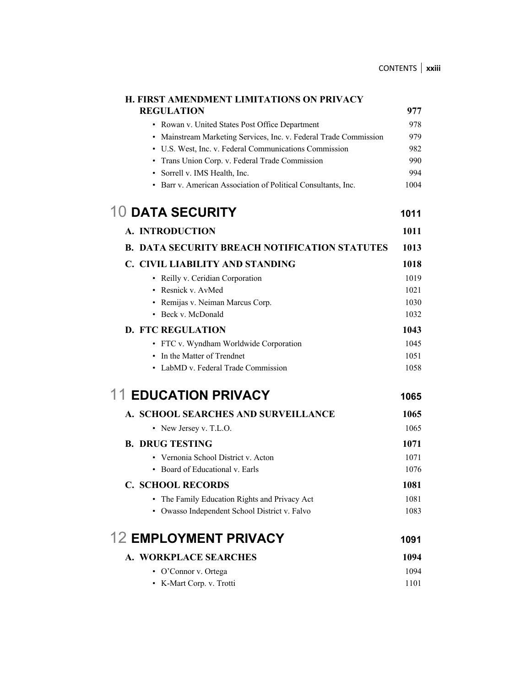| <b>REGULATION</b><br>977<br>978<br>• Rowan v. United States Post Office Department<br>• Mainstream Marketing Services, Inc. v. Federal Trade Commission<br>979<br>• U.S. West, Inc. v. Federal Communications Commission<br>982<br>• Trans Union Corp. v. Federal Trade Commission<br>990<br>• Sorrell v. IMS Health, Inc.<br>994<br>• Barr v. American Association of Political Consultants, Inc.<br>1004<br><b>10 DATA SECURITY</b><br>1011<br>A. INTRODUCTION<br>1011<br><b>B. DATA SECURITY BREACH NOTIFICATION STATUTES</b><br>1013<br>C. CIVIL LIABILITY AND STANDING<br>1018<br>1019<br>• Reilly v. Ceridian Corporation<br>• Resnick v. AvMed<br>1021<br>1030<br>• Remijas v. Neiman Marcus Corp. |
|-----------------------------------------------------------------------------------------------------------------------------------------------------------------------------------------------------------------------------------------------------------------------------------------------------------------------------------------------------------------------------------------------------------------------------------------------------------------------------------------------------------------------------------------------------------------------------------------------------------------------------------------------------------------------------------------------------------|
|                                                                                                                                                                                                                                                                                                                                                                                                                                                                                                                                                                                                                                                                                                           |
|                                                                                                                                                                                                                                                                                                                                                                                                                                                                                                                                                                                                                                                                                                           |
|                                                                                                                                                                                                                                                                                                                                                                                                                                                                                                                                                                                                                                                                                                           |
|                                                                                                                                                                                                                                                                                                                                                                                                                                                                                                                                                                                                                                                                                                           |
|                                                                                                                                                                                                                                                                                                                                                                                                                                                                                                                                                                                                                                                                                                           |
|                                                                                                                                                                                                                                                                                                                                                                                                                                                                                                                                                                                                                                                                                                           |
|                                                                                                                                                                                                                                                                                                                                                                                                                                                                                                                                                                                                                                                                                                           |
|                                                                                                                                                                                                                                                                                                                                                                                                                                                                                                                                                                                                                                                                                                           |
|                                                                                                                                                                                                                                                                                                                                                                                                                                                                                                                                                                                                                                                                                                           |
|                                                                                                                                                                                                                                                                                                                                                                                                                                                                                                                                                                                                                                                                                                           |
|                                                                                                                                                                                                                                                                                                                                                                                                                                                                                                                                                                                                                                                                                                           |
|                                                                                                                                                                                                                                                                                                                                                                                                                                                                                                                                                                                                                                                                                                           |
|                                                                                                                                                                                                                                                                                                                                                                                                                                                                                                                                                                                                                                                                                                           |
|                                                                                                                                                                                                                                                                                                                                                                                                                                                                                                                                                                                                                                                                                                           |
| • Beck v. McDonald<br>1032                                                                                                                                                                                                                                                                                                                                                                                                                                                                                                                                                                                                                                                                                |
| 1043<br><b>D. FTC REGULATION</b>                                                                                                                                                                                                                                                                                                                                                                                                                                                                                                                                                                                                                                                                          |
| 1045<br>• FTC v. Wyndham Worldwide Corporation                                                                                                                                                                                                                                                                                                                                                                                                                                                                                                                                                                                                                                                            |
| • In the Matter of Trendnet<br>1051                                                                                                                                                                                                                                                                                                                                                                                                                                                                                                                                                                                                                                                                       |
| • LabMD v. Federal Trade Commission<br>1058                                                                                                                                                                                                                                                                                                                                                                                                                                                                                                                                                                                                                                                               |
| <b>11 EDUCATION PRIVACY</b><br>1065                                                                                                                                                                                                                                                                                                                                                                                                                                                                                                                                                                                                                                                                       |
| A. SCHOOL SEARCHES AND SURVEILLANCE<br>1065                                                                                                                                                                                                                                                                                                                                                                                                                                                                                                                                                                                                                                                               |
| 1065<br>• New Jersey v. T.L.O.                                                                                                                                                                                                                                                                                                                                                                                                                                                                                                                                                                                                                                                                            |
| <b>B. DRUG TESTING</b><br>1071                                                                                                                                                                                                                                                                                                                                                                                                                                                                                                                                                                                                                                                                            |
| • Vernonia School District v. Acton<br>1071                                                                                                                                                                                                                                                                                                                                                                                                                                                                                                                                                                                                                                                               |
| • Board of Educational v. Earls<br>1076                                                                                                                                                                                                                                                                                                                                                                                                                                                                                                                                                                                                                                                                   |
| <b>C. SCHOOL RECORDS</b><br>1081                                                                                                                                                                                                                                                                                                                                                                                                                                                                                                                                                                                                                                                                          |
| 1081<br>The Family Education Rights and Privacy Act                                                                                                                                                                                                                                                                                                                                                                                                                                                                                                                                                                                                                                                       |
| Owasso Independent School District v. Falvo<br>1083                                                                                                                                                                                                                                                                                                                                                                                                                                                                                                                                                                                                                                                       |
| <b>12 EMPLOYMENT PRIVACY</b><br>1091                                                                                                                                                                                                                                                                                                                                                                                                                                                                                                                                                                                                                                                                      |
| A. WORKPLACE SEARCHES<br>1094                                                                                                                                                                                                                                                                                                                                                                                                                                                                                                                                                                                                                                                                             |
| 1094<br>• O'Connor v. Ortega                                                                                                                                                                                                                                                                                                                                                                                                                                                                                                                                                                                                                                                                              |
| • K-Mart Corp. v. Trotti<br>1101                                                                                                                                                                                                                                                                                                                                                                                                                                                                                                                                                                                                                                                                          |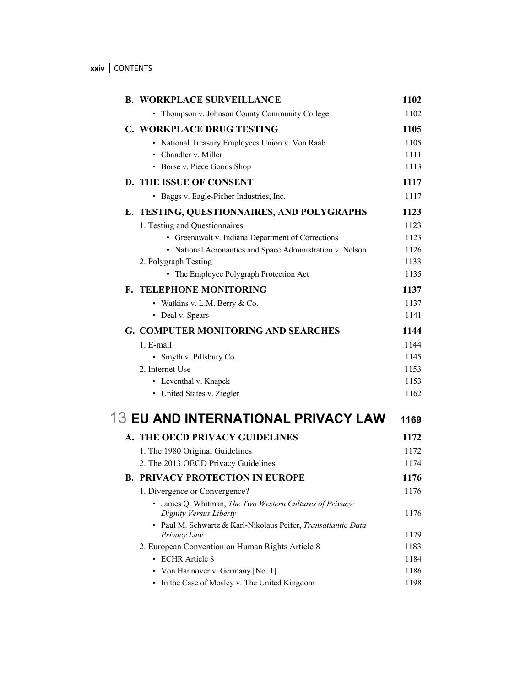| <b>B. WORKPLACE SURVEILLANCE</b>                                                   | 1102         |
|------------------------------------------------------------------------------------|--------------|
| • Thompson v. Johnson County Community College                                     | 1102         |
| <b>C. WORKPLACE DRUG TESTING</b>                                                   | 1105         |
| • National Treasury Employees Union v. Von Raab                                    | 1105         |
| • Chandler v. Miller                                                               | 1111         |
| • Borse v. Piece Goods Shop                                                        | 1113         |
| <b>D. THE ISSUE OF CONSENT</b>                                                     | 1117         |
| • Baggs v. Eagle-Picher Industries, Inc.                                           | 1117         |
| E. TESTING, QUESTIONNAIRES, AND POLYGRAPHS                                         | 1123         |
| 1. Testing and Questionnaires                                                      | 1123         |
| • Greenawalt v. Indiana Department of Corrections                                  | 1123         |
| • National Aeronautics and Space Administration v. Nelson                          | 1126         |
| 2. Polygraph Testing                                                               | 1133         |
| • The Employee Polygraph Protection Act                                            | 1135         |
| <b>F. TELEPHONE MONITORING</b>                                                     | 1137         |
| • Watkins v. L.M. Berry & Co.                                                      | 1137         |
| • Deal v. Spears                                                                   | 1141         |
| G. COMPUTER MONITORING AND SEARCHES                                                | 1144         |
| 1. E-mail                                                                          | 1144         |
| • Smyth v. Pillsbury Co.                                                           | 1145         |
| 2. Internet Use                                                                    | 1153         |
| • Leventhal v. Knapek                                                              | 1153         |
| • United States v. Ziegler                                                         | 1162         |
| <b>13 EU AND INTERNATIONAL PRIVACY LAW</b>                                         | 1169         |
| A. THE OECD PRIVACY GUIDELINES                                                     | 1172         |
| 1. The 1980 Original Guidelines                                                    | 1172         |
| 2. The 2013 OECD Privacy Guidelines                                                | 1174         |
| <b>B. PRIVACY PROTECTION IN EUROPE</b>                                             | 1176         |
| 1. Divergence or Convergence?                                                      | 1176         |
| • James Q. Whitman, The Two Western Cultures of Privacy:                           |              |
| Dignity Versus Liberty                                                             | 1176         |
| · Paul M. Schwartz & Karl-Nikolaus Peifer, Transatlantic Data                      |              |
| Privacy Law                                                                        | 1179         |
| 2. European Convention on Human Rights Article 8                                   | 1183         |
| • ECHR Article 8                                                                   | 1184<br>1186 |
| • Von Hannover v. Germany [No. 1]<br>• In the Case of Mosley v. The United Kingdom | 1198         |
|                                                                                    |              |